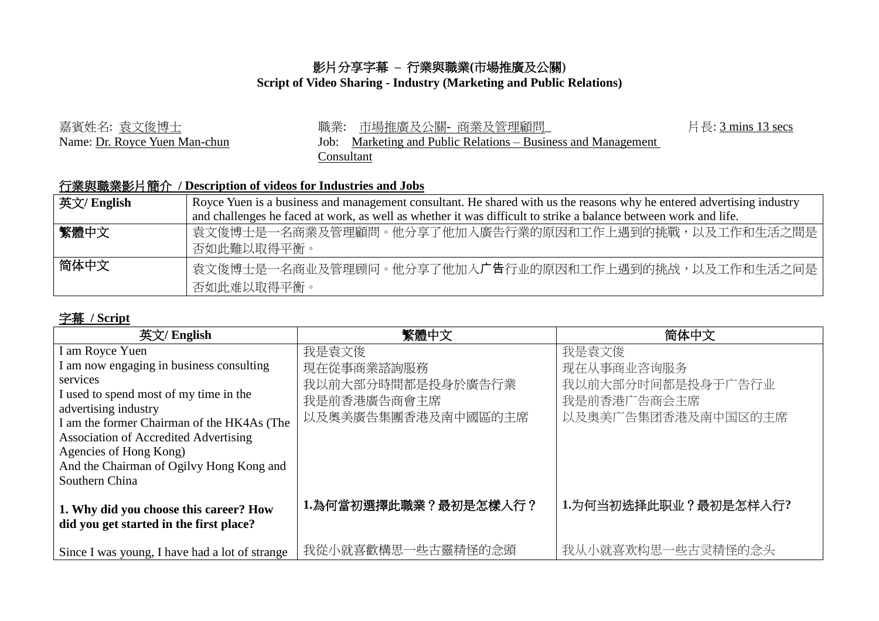## 影片分享字幕 **–** 行業與職業**(**市場推廣及公關**)**

## **Script of Video Sharing - Industry (Marketing and Public Relations)**

| 嘉賓姓名: 袁文俊博士                   | 市場推廣及公關- 商業及管理顧問_<br>職業:                                 | 片長: 3 mins 13 secs |
|-------------------------------|----------------------------------------------------------|--------------------|
| Name: Dr. Royce Yuen Man-chun | Marketing and Public Relations – Business and Management |                    |
|                               | .`onsultant                                              |                    |

## 行業與職業影片簡介 **/ Description of videos for Industries and Jobs**

| 英文/ English | Royce Yuen is a business and management consultant. He shared with us the reasons why he entered advertising industry |
|-------------|-----------------------------------------------------------------------------------------------------------------------|
|             | and challenges he faced at work, as well as whether it was difficult to strike a balance between work and life.       |
| 繁體中文        | 袁文俊博士是一名商業及管理顧問。他分享了他加入廣告行業的原因和工作上遇到的挑戰,以及工作和生活之間是<br>否如此難以取得平衡。                                                      |
| 简体中文        | 袁文俊博士是一名商业及管理顾问。他分享了他加入广告行业的原因和工作上遇到的挑战,以及工作和生活之间是<br>否如此难以取得平衡。                                                      |

## 字幕 **/ Script**

| 英文/ English                                                        | 繁體中文                 | 简体中文                 |
|--------------------------------------------------------------------|----------------------|----------------------|
| I am Royce Yuen                                                    | 我是袁文俊                | 我是袁文俊                |
| I am now engaging in business consulting                           | 現在從事商業諮詢服務           | 现在从事商业咨询服务           |
| services                                                           | 我以前大部分時間都是投身於廣告行業    | 我以前大部分时间都是投身于广告行业    |
| I used to spend most of my time in the                             | 我是前香港廣告商會主席          | 我是前香港广告商会主席          |
| advertising industry                                               | 以及奧美廣告集團香港及南中國區的主席   | 以及奥美广告集团香港及南中国区的主席   |
| I am the former Chairman of the HK4As (The                         |                      |                      |
| <b>Association of Accredited Advertising</b>                       |                      |                      |
| Agencies of Hong Kong)<br>And the Chairman of Ogilvy Hong Kong and |                      |                      |
| Southern China                                                     |                      |                      |
|                                                                    |                      |                      |
| 1. Why did you choose this career? How                             | 1.為何當初選擇此職業?最初是怎樣入行? | 1.为何当初选择此职业?最初是怎样入行? |
| did you get started in the first place?                            |                      |                      |
|                                                                    |                      |                      |
| Since I was young, I have had a lot of strange                     | 我從小就喜歡構思一些古靈精怪的念頭    | 我从小就喜欢构思一些古灵精怪的念头    |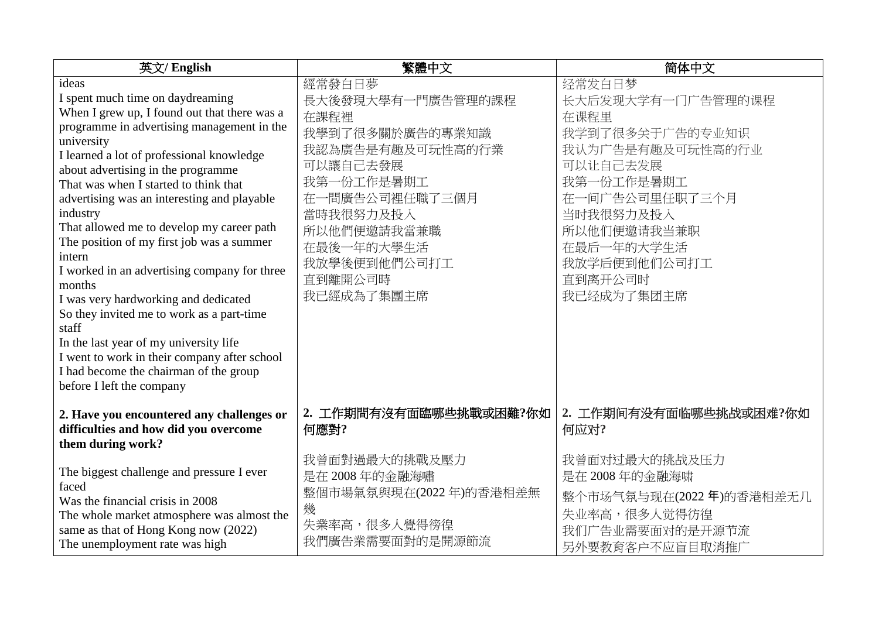| 英文/ English                                                                        | 繁體中文                           | 简体中文                           |
|------------------------------------------------------------------------------------|--------------------------------|--------------------------------|
| ideas                                                                              | 經常發白日夢                         | 经常发白日梦                         |
| I spent much time on daydreaming                                                   | 長大後發現大學有一門廣告管理的課程              | 长大后发现大学有一门广告管理的课程              |
| When I grew up, I found out that there was a                                       | 在課程裡                           | 在课程里                           |
| programme in advertising management in the                                         | 我學到了很多關於廣告的專業知識                | 我学到了很多关于广告的专业知识                |
| university                                                                         | 我認為廣告是有趣及可玩性高的行業               | 我认为广告是有趣及可玩性高的行业               |
| I learned a lot of professional knowledge                                          | 可以讓自己去發展                       | 可以让自己去发展                       |
| about advertising in the programme<br>That was when I started to think that        | 我第一份工作是暑期工                     | 我第一份工作是暑期工                     |
| advertising was an interesting and playable                                        | 在一間廣告公司裡任職了三個月                 | 在一间广告公司里任职了三个月                 |
| industry                                                                           | 當時我很努力及投入                      | 当时我很努力及投入                      |
| That allowed me to develop my career path                                          |                                |                                |
| The position of my first job was a summer                                          | 所以他們便邀請我當兼職                    | 所以他们便邀请我当兼职                    |
| intern                                                                             | 在最後一年的大學生活                     | 在最后一年的大学生活                     |
| I worked in an advertising company for three                                       | 我放學後便到他們公司打工                   | 我放学后便到他们公司打工                   |
| months                                                                             | 直到離開公司時                        | 直到离开公司时                        |
| I was very hardworking and dedicated                                               | 我已經成為了集團主席                     | 我已经成为了集团主席                     |
| So they invited me to work as a part-time                                          |                                |                                |
| staff                                                                              |                                |                                |
| In the last year of my university life                                             |                                |                                |
| I went to work in their company after school                                       |                                |                                |
| I had become the chairman of the group                                             |                                |                                |
| before I left the company                                                          |                                |                                |
| 2. Have you encountered any challenges or<br>difficulties and how did you overcome | 2. 工作期間有沒有面臨哪些挑戰或困難?你如<br>何應對? | 2. 工作期间有没有面临哪些挑战或困难?你如<br>何应对? |
| them during work?                                                                  |                                |                                |
|                                                                                    | 我曾面對過最大的挑戰及壓力                  | 我曾面对过最大的挑战及压力                  |
| The biggest challenge and pressure I ever                                          | 是在 2008年的金融海嘯                  | 是在 2008年的金融海啸                  |
| faced                                                                              | 整個市場氣氛與現在(2022年)的香港相差無         | 整个市场气氛与现在(2022年)的香港相差无几        |
| Was the financial crisis in 2008                                                   | 幾                              | 失业率高,很多人觉得彷徨                   |
| The whole market atmosphere was almost the<br>same as that of Hong Kong now (2022) | 失業率高,很多人覺得徬徨                   |                                |
| The unemployment rate was high                                                     | 我們廣告業需要面對的是開源節流                | 我们广告业需要面对的是开源节流                |
|                                                                                    |                                | 另外要教育客户不应盲目取消推广                |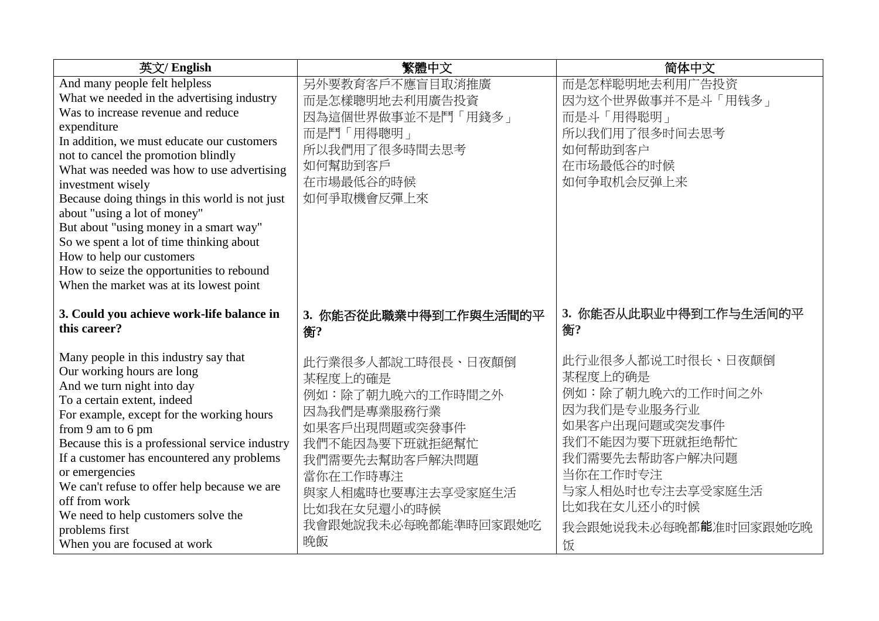| 英文/ English                                                                                                                                                                                                                                                                                                                                                                                                                                                                                            | 繁體中文                                                                                                                                                                                              | 简体中文                                                                                                                                                                                             |
|--------------------------------------------------------------------------------------------------------------------------------------------------------------------------------------------------------------------------------------------------------------------------------------------------------------------------------------------------------------------------------------------------------------------------------------------------------------------------------------------------------|---------------------------------------------------------------------------------------------------------------------------------------------------------------------------------------------------|--------------------------------------------------------------------------------------------------------------------------------------------------------------------------------------------------|
| And many people felt helpless<br>What we needed in the advertising industry                                                                                                                                                                                                                                                                                                                                                                                                                            | 另外要教育客戶不應盲目取消推廣<br>而是怎樣聰明地去利用廣告投資                                                                                                                                                                 | 而是怎样聪明地去利用广告投资<br>因为这个世界做事并不是斗「用钱多」                                                                                                                                                              |
| Was to increase revenue and reduce<br>expenditure<br>In addition, we must educate our customers<br>not to cancel the promotion blindly<br>What was needed was how to use advertising<br>investment wisely<br>Because doing things in this world is not just<br>about "using a lot of money"<br>But about "using money in a smart way"<br>So we spent a lot of time thinking about<br>How to help our customers<br>How to seize the opportunities to rebound<br>When the market was at its lowest point | 因為這個世界做事並不是鬥「用錢多」<br>而是鬥「用得聰明」<br>所以我們用了很多時間去思考<br>如何幫助到客戶<br>在市場最低谷的時候<br>如何爭取機會反彈上來                                                                                                             | 而是斗「用得聪明」<br>所以我们用了很多时间去思考<br>如何帮助到客户<br>在市场最低谷的时候<br>如何争取机会反弹上来                                                                                                                                 |
| 3. Could you achieve work-life balance in<br>this career?                                                                                                                                                                                                                                                                                                                                                                                                                                              | 3. 你能否從此職業中得到工作與生活間的平<br>衡?                                                                                                                                                                       | 3. 你能否从此职业中得到工作与生活间的平<br>衡?                                                                                                                                                                      |
| Many people in this industry say that<br>Our working hours are long<br>And we turn night into day<br>To a certain extent, indeed<br>For example, except for the working hours<br>from 9 am to 6 pm<br>Because this is a professional service industry<br>If a customer has encountered any problems<br>or emergencies<br>We can't refuse to offer help because we are<br>off from work<br>We need to help customers solve the<br>problems first<br>When you are focused at work                        | 此行業很多人都說工時很長、日夜顛倒<br>某程度上的確是<br>例如:除了朝九晚六的工作時間之外<br>因為我們是專業服務行業<br>如果客戶出現問題或突發事件<br>我們不能因為要下班就拒絕幫忙<br>我們需要先去幫助客戶解決問題<br>當你在工作時專注<br>與家人相處時也要專注去享受家庭生活<br>比如我在女兒還小的時候<br>我會跟她說我未必每晚都能準時回家跟她吃<br>晚飯 | 此行业很多人都说工时很长、日夜颠倒<br>某程度上的确是<br>例如:除了朝九晚六的工作时间之外<br>因为我们是专业服务行业<br>如果客户出现问题或突发事件<br>我们不能因为要下班就拒绝帮忙<br>我们需要先去帮助客户解决问题<br>当你在工作时专注<br>与家人相处时也专注去享受家庭生活<br>比如我在女儿还小的时候<br>我会跟她说我未必每晚都能准时回家跟她吃晚<br>饭 |